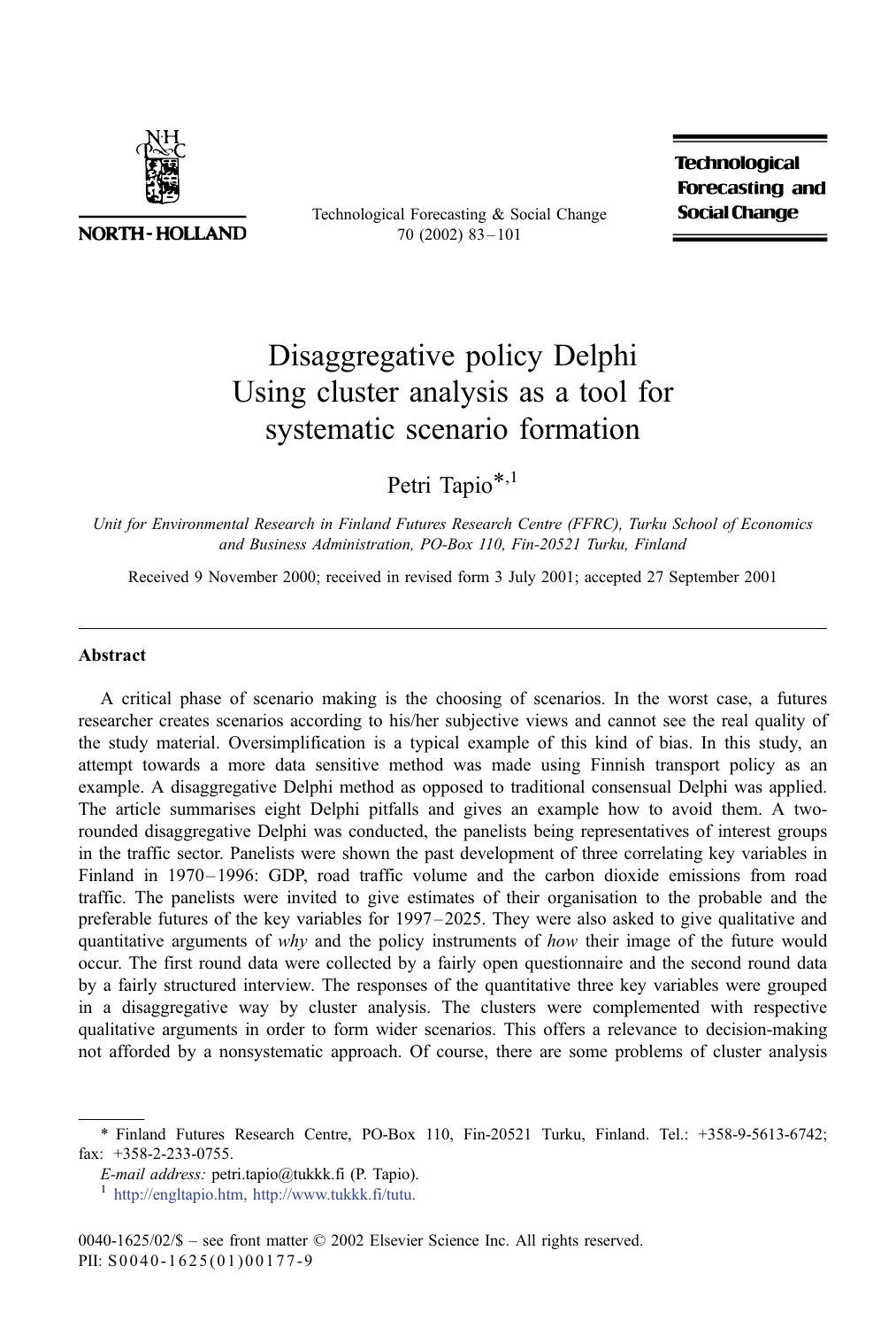

**NORTH-HOLLAND** 

Technological Forecasting & Social Change 70 (2002) 83 – 101

**Technological Forecasting and Social Change** 

# Disaggregative policy Delphi Using cluster analysis as a tool for systematic scenario formation

Petri Tapio<sup>\*,1</sup>

Unit for Environmental Research in Finland Futures Research Centre (FFRC), Turku School of Economics and Business Administration, PO-Box 110, Fin-20521 Turku, Finland

Received 9 November 2000; received in revised form 3 July 2001; accepted 27 September 2001

#### Abstract

A critical phase of scenario making is the choosing of scenarios. In the worst case, a futures researcher creates scenarios according to his/her subjective views and cannot see the real quality of the study material. Oversimplification is a typical example of this kind of bias. In this study, an attempt towards a more data sensitive method was made using Finnish transport policy as an example. A disaggregative Delphi method as opposed to traditional consensual Delphi was applied. The article summarises eight Delphi pitfalls and gives an example how to avoid them. A tworounded disaggregative Delphi was conducted, the panelists being representatives of interest groups in the traffic sector. Panelists were shown the past development of three correlating key variables in Finland in 1970– 1996: GDP, road traffic volume and the carbon dioxide emissions from road traffic. The panelists were invited to give estimates of their organisation to the probable and the preferable futures of the key variables for 1997 –2025. They were also asked to give qualitative and quantitative arguments of why and the policy instruments of how their image of the future would occur. The first round data were collected by a fairly open questionnaire and the second round data by a fairly structured interview. The responses of the quantitative three key variables were grouped in a disaggregative way by cluster analysis. The clusters were complemented with respective qualitative arguments in order to form wider scenarios. This offers a relevance to decision-making not afforded by a nonsystematic approach. Of course, there are some problems of cluster analysis

<sup>\*</sup> Finland Futures Research Centre, PO-Box 110, Fin-20521 Turku, Finland. Tel.: +358-9-5613-6742; fax: +358-2-233-0755.

E-mail address: petri.tapio@tukkk.fi (P. Tapio).<br><sup>1</sup> [http://engltapio.htm,]( http:\\engltapio.htm ) [http://www.tukkk.fi/tutu.]( http:\\www.tukkk.fi\tutu )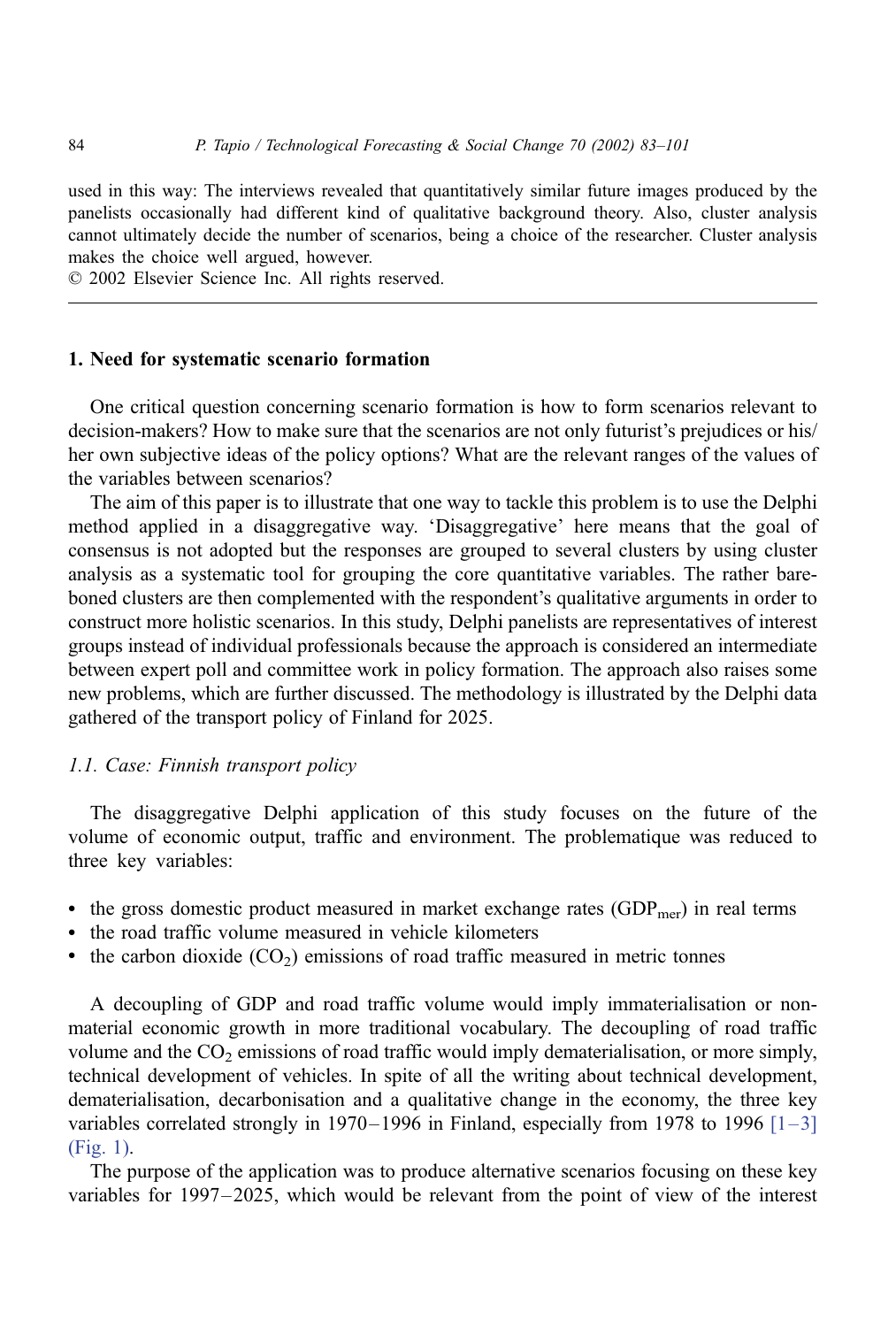used in this way: The interviews revealed that quantitatively similar future images produced by the panelists occasionally had different kind of qualitative background theory. Also, cluster analysis cannot ultimately decide the number of scenarios, being a choice of the researcher. Cluster analysis makes the choice well argued, however.

 $© 2002$  Elsevier Science Inc. All rights reserved.

## 1. Need for systematic scenario formation

One critical question concerning scenario formation is how to form scenarios relevant to decision-makers? How to make sure that the scenarios are not only futurist's prejudices or his/ her own subjective ideas of the policy options? What are the relevant ranges of the values of the variables between scenarios?

The aim of this paper is to illustrate that one way to tackle this problem is to use the Delphi method applied in a disaggregative way. 'Disaggregative' here means that the goal of consensus is not adopted but the responses are grouped to several clusters by using cluster analysis as a systematic tool for grouping the core quantitative variables. The rather bareboned clusters are then complemented with the respondent's qualitative arguments in order to construct more holistic scenarios. In this study, Delphi panelists are representatives of interest groups instead of individual professionals because the approach is considered an intermediate between expert poll and committee work in policy formation. The approach also raises some new problems, which are further discussed. The methodology is illustrated by the Delphi data gathered of the transport policy of Finland for 2025.

### 1.1. Case: Finnish transport policy

The disaggregative Delphi application of this study focuses on the future of the volume of economic output, traffic and environment. The problematique was reduced to three key variables:

- the gross domestic product measured in market exchange rates  $(GDP<sub>mer</sub>)$  in real terms
- the road traffic volume measured in vehicle kilometers
- the carbon dioxide  $(CO_2)$  emissions of road traffic measured in metric tonnes

A decoupling of GDP and road traffic volume would imply immaterialisation or nonmaterial economic growth in more traditional vocabulary. The decoupling of road traffic volume and the  $CO<sub>2</sub>$  emissions of road traffic would imply dematerialisation, or more simply, technical development of vehicles. In spite of all the writing about technical development, dematerialisation, decarbonisation and a qualitative change in the economy, the three key variables correlated strongly in 1970–1996 in Finland, especially from 1978 to 1996  $\lceil 1-3 \rceil$ [\(Fig. 1\)](#page--1-0).

The purpose of the application was to produce alternative scenarios focusing on these key variables for 1997–2025, which would be relevant from the point of view of the interest